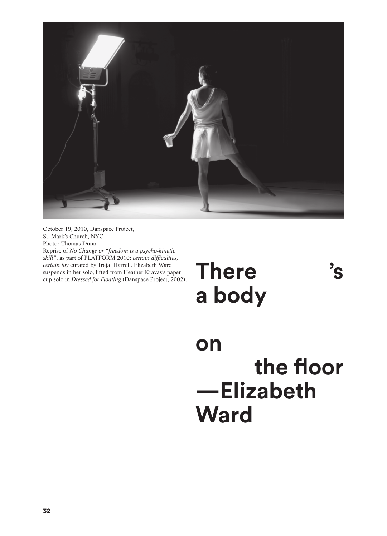

October 19, 2010, Danspace Project, St. Mark's Church, NYC Photo: Thomas Dunn Reprise of *No Change or "freedom is a psycho-kinetic skill"*, as part of PLATFORM 2010: *certain difficulties, certain joy* curated by Trajal Harrell. Elizabeth Ward suspends in her solo, lifted from Heather Kravas's paper cup solo in *Dressed for Floating* (Danspace Project, 2002).

**There 's a body** 

**on the floor —Elizabeth Ward**